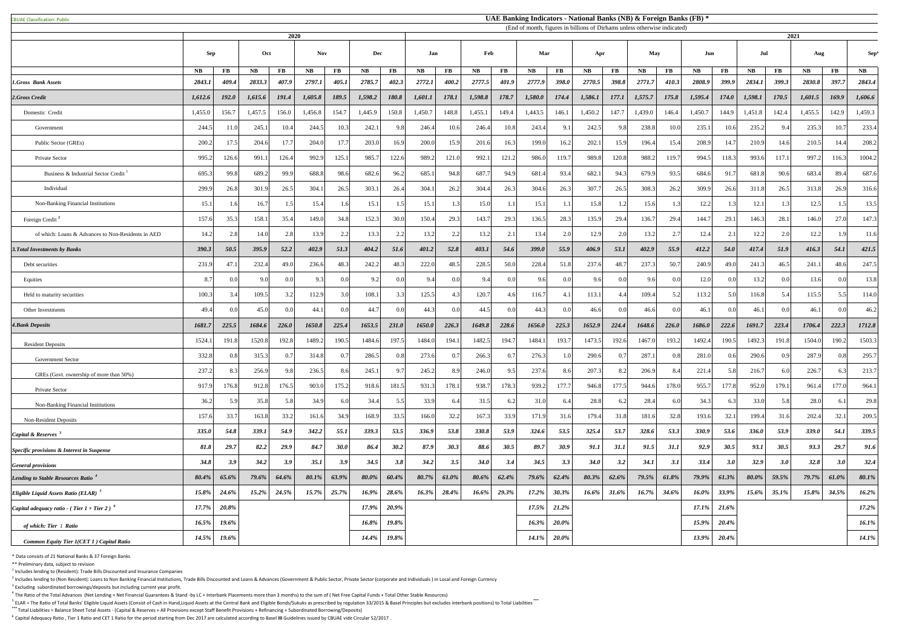CBUAE Classification: Public#

 $<sup>1</sup>$  Includes lending to (Resident): Trade Bills Discounted and Insurance Companies</sup>

 $^2$  Includes lending to (Non Resident): Loans to Non Banking Financial Institutions, Trade Bills Discounted and Loans & Advances (Government & Public Sector, Private Sector (corporate and Individuals) in Local and Foreig  $3$  Excluding subordinated borrowings/deposits but including current year profit.

 $^4$  The Ratio of the Total Advances (Net Lending + Net Financial Guarantees & Stand -by LC + Interbank Placements more than 3 months) to the sum of (Net Free Capital Funds + Total Other Stable Resources)

<sup>5</sup> ELAR = The Ratio of Total Banks' Eligible Liquid Assets (Consist of Cash in Hand,Liquid Assets at the Central Bank and Eligible Bonds/Sukuks as prescribed by regulation 33/2015 & Basel Principles but excludes interbank **\*\*\*** Total Liabilities = Balance Sheet Total Assets - (Capital & Reserves + All Provisions except Staff Benefit Provisions + Refinancing + Subordinated Borrowing/Deposits)

<sup>6</sup> Capital Adequacy Ratio, Tier 1 Ratio and CET 1 Ratio for the period starting from Dec 2017 are calculated according to Basel III Guidelines issued by CBUAE vide Circular 52/2017.

|                                                           | 2020          |           |         |                |                   |             |          |                |         |                | (End of month, figures in billions of Dirhams unless otherwise indicated) |                |          |              |             |           | 2021                       |                |          |          |           |                |                  |                        |               |
|-----------------------------------------------------------|---------------|-----------|---------|----------------|-------------------|-------------|----------|----------------|---------|----------------|---------------------------------------------------------------------------|----------------|----------|--------------|-------------|-----------|----------------------------|----------------|----------|----------|-----------|----------------|------------------|------------------------|---------------|
|                                                           | <b>Sep</b>    |           | Oct     |                | <b>Nov</b><br>Dec |             | Jan      |                | Feb     |                | Mar                                                                       |                | Apr      |              | <b>May</b>  |           | Jun                        |                | Jul      |          | Aug       |                | Sep <sup>3</sup> |                        |               |
|                                                           | $N\mathbf{B}$ | <b>FB</b> | NB      | $\bf FB$       | <b>NB</b>         | $\bf FB$    | NB       | $\mathbf{FB}$  | NB      | $\bf FB$       | NB                                                                        | $\bf FB$       | NB       | $\bf FB$     | <b>NB</b>   | <b>FB</b> | <b>NB</b>                  | $\bf FB$       | NB       | $\bf FB$ | <b>NB</b> | $\bf FB$       | $N\mathbf{B}$    | $\mathbf{F}\mathbf{B}$ | $N\mathbf{B}$ |
| <b>1.Gross Bank Assets</b>                                | 2843.1        | 409.4     | 2833.3  | 407.9          | 2797.1            | 405.1       | 2785.7   | 402.3          | 2772.1  | 400.2          | 2777.5                                                                    | 401.9          | 2777.9   | <b>398.0</b> | 2770.5      | 398.8     | 2771.7                     | 410.3          | 2808.9   | 399.9    | 2834.1    | 399.3          | 2830.8           | 397.7                  | 2843.4        |
| 2.Gross Credit                                            | 1,612.6       | 192.0     | 1,615.6 | 191.4          | 1,605.8           | 189.5       | 1,598.2  | 180.8          | 1,601.1 | 178.1          | 1,598.8                                                                   | 178.7          | 1,580.0  | 174.4        | 1,586.1     | 177.1     | 1,575.7                    | 175.8          | 1,595.4  | 174.0    | 1,598.1   | 170.5          | 1,601.5          | 169.9                  | 1,606.6       |
| Domestic Credit                                           | 1,455.0       | 156.7     | 1,457.5 | 156.0          | 1,456.8           | 154.7       | 1,445.9  | 150.8          | 1,450.7 | 148.8          | 1,455.1                                                                   | 149.4          | 1,443.5  | 146.1        | 1,450.2     | 147.7     | 1,439.0                    | 146.4          | 1,450.7  | 144.9    | 1,451.8   | 142.4          | 1,455.5          | 142.9                  | 1,459.3       |
| Government                                                | 244.5         | 11.0      | 245.1   | 10.4           | 244.5             | 10.3        | 242.     | 9.8            | 246.4   | 10.6           | 246.4                                                                     | 10.8           | 243.4    | 9.1          | 242.5       | 9.8       | 238.8                      | 10.0           | 235.1    | 10.6     | 235.2     | 9.4            | 235.3            | 10.7                   | 233.4         |
| Public Sector (GREs)                                      | 200.2         | 17.5      | 204.6   | 17.7           | 204.0             | 17.7        | 203.0    | 16.9           | 200.0   | 15.9           | 201.6                                                                     | 16.3           | 199.0    | 16.2         | 202.1       | 15.9      | 196.4                      | 15.4           | 208.9    | 14.7     | 210.9     | 14.6           | 210.5            | 14.4                   | 208.2         |
| Private Sector                                            | 995.2         | 126.6     | 991.    | 126.4          | 992.9             | 125.1       | 985.7    | 122.6          | 989.2   | 121.0          | 992.1                                                                     | 121.2          | 986.0    | 119.7        | 989.8       | 120.8     | 988.2                      | 119.7          | 994.5    | 118.3    | 993.6     | 117.1          | 997.             | 116.3                  | 1004.2        |
| Business & Industrial Sector Credit                       | 695.3         | 99.8      | 689.2   | 99.9           | 688.8             | 98.6        | 682.6    | 96.2           | 685.    | 94.8           | 687.                                                                      | 94.9           | 681.4    | 93.4         | 682.1       | 94.3      | 679.9                      | 93.5           | 684.6    | 91.      | 681.8     | 90.6           | 683.4            | 89.4                   | 687.6         |
| Individual                                                | 299.9         | 26.8      | 301.9   | 26.5           | 304.1             | 26.5        | 303.     | 26.4           | 304.    | 26.2           | 304.4                                                                     | 26.3           | 304.6    | 26.3         | 307.7       | 26.5      | 308.3                      | 26.2           | 309.9    | 26.6     | 311.8     | 26.5           | 313.8            | 26.9                   | 316.6         |
| Non-Banking Financial Institutions                        | 15.1          |           | 16.7    |                | 15.4              | 1.6         | 15.1     | 1.5            | 15.1    |                | 15.0                                                                      | 1.1            | 15.1     |              | 15.8        |           | 15.6                       |                | 12.2     |          | 12.1      | 1.3            | 12.5             | 1.5                    | 13.5          |
| Foreign Credit <sup>2</sup>                               | 157.6         | 35.3      | 158.1   | 35.4           | 149.0             | 34.8        | 152.3    | 30.0           | 150.4   | 29.3           | 143.7                                                                     | 29.3           | 136.5    | 28.3         | 135.9       | 29.4      | 136.7                      | 29.4           | 144.7    | 29.1     | 146.3     | 28.1           | 146.0            | 27.0                   | 147.3         |
| of which: Loans & Advances to Non-Residents in AED        | 14.2          | 2.8       | 14.0    | 2.8            | 13.9              | 2.2         | 13.3     | 2.2            | 13.2    | 2.2            | 13.2                                                                      | 2.1            | 13.4     |              | 12.9        | 2.0       | 13.2                       | 2.7            | 12.4     | 2.1      | 12.2      | 2.0            | 12.2             | 1.9                    | 11.6          |
| <b>3. Total Investments by Banks</b>                      | 390.3         | 50.5      | 395.9   | 52.2           | 402.9             | 51.3        | 404.2    | 51.6           | 401.2   | 52.8           | 403.1                                                                     | 54.6           | 399.0    | 55.9         | 406.9       | 53.1      | 402.9                      | 55.9           | 412.2    | 54.0     | 417.4     | 51.9           | 416.3            | 54.1                   | 421.5         |
| Debt securities                                           | 231.9         | 47.1      | 232.4   | 49.0           | 236.6             | 48.3        | 242.2    | 48.3           | 222.0   | 48.5           | 228.5                                                                     | 50.0           | 228.4    | 51.8         | 237.6       | 48.7      | 237.3                      | 50.7           | 240.9    | 49.0     | 241.3     | 46.5           | 241.1            | 48.6                   | 247.5         |
| Equities                                                  | 8.7           | 0.0       | 9.0     |                | $Q$ 3             | 0.0         | 9.2      | 0.0            | 9.4     | 0.0            | 9.4                                                                       |                | 9.6      |              | 9.6         | 0.0       | 96                         | 0.0            | 12.0     |          | 13.2      | 0.0            | 13.6             | 0.01                   | 13.8          |
| Held to maturity securities                               | 100.3         | 3.4       | 109.5   |                | 112.9             | 3.0         | 108.     | 3.3            | 125.5   |                | 120.                                                                      |                | 116.7    |              | 113.1       |           | 109.4                      | 5.2            | 113.2    |          | 116.8     | 5.4            | 115.5            | 5.5                    | 114.0         |
| Other Investments                                         | 49.4          |           | 45.0    |                | 44.               | 0.0         | 44.7     | 0.0            | 44.3    | 0.0            | 44.5                                                                      |                | 44.3     |              | 46.6        | 0.0       | 46.6                       | 0 <sub>0</sub> | 46.1     |          | 46.1      | 0.0            | 46.1             | 0.0                    | 46.2          |
| <b>4.Bank Deposits</b>                                    | 1681.7        | 225.5     | 1684.6  | 226.0          | 1650.8            | 225.4       | 1653.5   | 231.0          | 1650.0  | 226.3          | 1649.8                                                                    | 228.6          | 1656.0   | 225.3        | 1652.9      | 224.4     | 1648.6                     | 226.0          | 1686.0   | 222.6    | 1691.7    | 223.4          | 1706.4           | 222.3                  | 1712.8        |
| <b>Resident Deposits</b>                                  | 1524.1        | 191.8     | 1520.8  | 192.8          | 1489.2            | 190.5       | 1484.6   | 197.5          | 1484.0  | 194.1          | 1482.5                                                                    | 194.7          | 1484.1   | 193.         | 1473.5      | 192.6     | 1467.                      | 193.2          | 1492.4   | 190.     | 1492.3    | 191.8          | 1504.            | 190.2                  | 1503.3        |
| <b>Government Sector</b>                                  | 332.8         | 0.8       | 315.3   |                | 314.8             | 0.7         | 286.5    | 0.8            | 273.6   | 0.7            | 266.                                                                      | 0 <sub>7</sub> | 276.3    |              | 290.6       |           | 287.1                      | 0.8            | 281.0    |          | 290.6     | 09             | 287.9            | 0.81                   | 295.7         |
| GREs (Govt. ownership of more than 50%)                   | 237.2         |           | 256.9   | 9.81           | 236.5             | 8.6         | 245.     | 9.7            | 245.2   | 8.9            | 246.0                                                                     | 9.5            | 237.6    | 8.6          | 207.3       | 8.2       | 206.9                      | 8.4            | 221.4    | 5.81     | 216.      | 60             | 226.7            |                        | 213.7         |
| Private Sector                                            | 917.9         | 176.8     | 912.8   | 176.5          | 903.0             | 175.2       | 918.6    | 181.5          | 931.    | 178.1          | 938.                                                                      | 178.3          | 939.2    | 177.7        | 946.8       | 177.5     | 944.6                      | 178.0          | 955.     | 177.8    | 952.0     | 179.1          | 961.4            | 177.0                  | 964.1         |
| Non-Banking Financial Institutions                        | 36.2          | 5.9       | 35.8    | 5.8            | 34.9              | 6.0         | 34.4     | 5.5            | 33.9    | 6.4            | 31.5                                                                      | 6.2            | 31.0     | 6.4          | 28.8        | 6.2       | 28.4                       | 6.0            | 34.3     |          | 33.0      | 5.8            | 28.0             | 6.1                    | 29.8          |
| Non-Resident Deposits                                     | 157.6         | 33.7      | 163.8   | 33.2           | 161.6             | 34.9        | 168.9    | 33.5           | 166.0   | 32.2           | 167.                                                                      | 33.9           | 171.9    | 31.6         | 179.4       | 31.8      | 181.6                      | 32.8           | 193.6    | 32.1     | 199.4     | 31.6           | 202.4            | 32.1                   | 209.5         |
| Capital & Reserves <sup>3</sup>                           | 335.0         | 54.8      | 339.1   | 54.9           | 342.2             | 55.1        | 339.3    | 53.5           | 336.9   | 53.8           | 330.8                                                                     | 53.9           | 324.6    | 53.5         | 325.4       | 53.7      | 328.6                      | 53.3           | 330.9    | 53.6     | 336.0     | 53.9           | <b>339.0</b>     | 54.1                   | 339.5         |
| Specific provisions & Interest in Suspense                | 81.8          | 29.7      | 82.2    | 29.9           | 84.7              | <b>30.0</b> | 86.4     | 30.2           | 87.9    | 30.3           | 88.6                                                                      | 30.5           | 89.7     | 30.9         | 91.1        | 31.1      | 91.5                       | 31.1           | 92.9     | 30.5     | 93.1      | 30.5           | 93.3             | 29.7                   | 91.6          |
| <b>General provisions</b>                                 | 34.8          | 3.9       | 34.2    | 3.9            | 35.1              | 3.9         | 34.5     | 3.8            | 34.2    | 3.5            | 34.0                                                                      | 3.4            | 34.5     | 3.3          | <b>34.0</b> | 3.2       | 34.1                       | 3.1            | 33.4     | 3.0      | 32.9      | 3.0            | 32.8             | 3.0                    | 32.4          |
| Lending to Stable Resources Ratio <sup>4</sup>            | 80.4%         | 65.6%     | 79.6%   | 64.6%          | 80.1%             | 63.9%       | 80.0%    | 60.4%          | 80.7%   | 61.0%          | 80.6%                                                                     | 62.4%          | 79.6%    | 62.4%        | 80.3%       | 62.6%     | 79.5%                      | 61.8%          | 79.9%    | 61.3%    | 80.0%     | 59.5%          | 79.7%            | 61.0%                  | 80.1%         |
| <i>Eligible Liquid Assets Ratio (ELAR)</i> <sup>5</sup>   | $15.8\%$      | $24.6\%$  |         | $15.2\%$ 24.5% | $15.7\%$ 25.7%    |             |          | $16.9\%$ 28.6% |         | $16.3\%$ 28.4% |                                                                           | $16.6\%$ 29.3% | $17.2\%$ | $30.3\%$     |             |           | $16.6\%$ 31.6% 16.7% 34.6% |                | $16.0\%$ | $33.9\%$ |           | $15.6\%$ 35.1% |                  | $15.8\%$ 34.5%         | $16.2\%$      |
| Capital adequacy ratio - (Tier $1 +$ Tier 2) <sup>6</sup> | 17.7%         | $20.8\%$  |         |                |                   |             | 17.9%    | 20.9%          |         |                |                                                                           |                | 17.5%    | $21.2\%$     |             |           |                            |                | $17.1\%$ | $21.6\%$ |           |                |                  |                        | 17.2%         |
| of which: Tier 1 Ratio                                    | 16.5%         | 19.6%     |         |                |                   |             | $16.8\%$ | 19.8%          |         |                |                                                                           |                | 16.3%    | 20.0%        |             |           |                            |                | $15.9\%$ | $20.4\%$ |           |                |                  |                        | 16.1%         |
| Common Equity Tier 1(CET 1) Capital Ratio                 | 14.5%         | $19.6\%$  |         |                |                   |             | $14.4\%$ | $19.8\%$       |         |                |                                                                           |                | 14.1%    | $20.0\%$     |             |           |                            |                | 13.9%    | $20.4\%$ |           |                |                  |                        | $14.1\%$      |

\* Data consists of 21 National Banks & 37 Foreign Banks

\*\* Preliminary data, subject to revision

## **UAE Banking Indicators - National Banks (NB) & Foreign Banks (FB) \***

(End of month, figures in billions of Dirhams unless otherwise indicated)